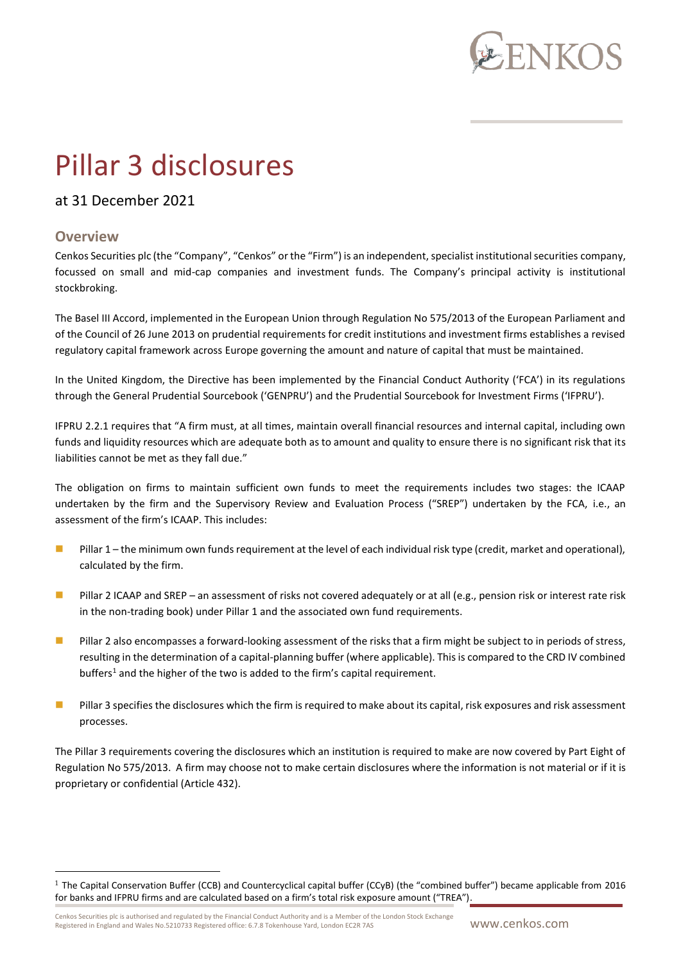

# Pillar 3 disclosures

## at 31 December 2021

### **Overview**

Cenkos Securities plc (the "Company", "Cenkos" or the "Firm") is an independent, specialist institutional securities company, focussed on small and mid-cap companies and investment funds. The Company's principal activity is institutional stockbroking.

The Basel III Accord, implemented in the European Union through Regulation No 575/2013 of the European Parliament and of the Council of 26 June 2013 on prudential requirements for credit institutions and investment firms establishes a revised regulatory capital framework across Europe governing the amount and nature of capital that must be maintained.

In the United Kingdom, the Directive has been implemented by the Financial Conduct Authority ('FCA') in its regulations through the General Prudential Sourcebook ('GENPRU') and the Prudential Sourcebook for Investment Firms ('IFPRU').

IFPRU 2.2.1 requires that "A firm must, at all times, maintain overall financial resources and internal capital, including own funds and liquidity resources which are adequate both as to amount and quality to ensure there is no significant risk that its liabilities cannot be met as they fall due."

The obligation on firms to maintain sufficient own funds to meet the requirements includes two stages: the ICAAP undertaken by the firm and the Supervisory Review and Evaluation Process ("SREP") undertaken by the FCA, i.e., an assessment of the firm's ICAAP. This includes:

- Pillar 1 the minimum own funds requirement at the level of each individual risk type (credit, market and operational), calculated by the firm.
- Pillar 2 ICAAP and SREP an assessment of risks not covered adequately or at all (e.g., pension risk or interest rate risk in the non-trading book) under Pillar 1 and the associated own fund requirements.
- Pillar 2 also encompasses a forward-looking assessment of the risks that a firm might be subject to in periods of stress, resulting in the determination of a capital-planning buffer (where applicable). This is compared to the CRD IV combined buffers<sup>1</sup> and the higher of the two is added to the firm's capital requirement.
- Pillar 3 specifies the disclosures which the firm is required to make about its capital, risk exposures and risk assessment processes.

The Pillar 3 requirements covering the disclosures which an institution is required to make are now covered by Part Eight of Regulation No 575/2013. A firm may choose not to make certain disclosures where the information is not material or if it is proprietary or confidential (Article 432).

<sup>&</sup>lt;sup>1</sup> The Capital Conservation Buffer (CCB) and Countercyclical capital buffer (CCyB) (the "combined buffer") became applicable from 2016 for banks and IFPRU firms and are calculated based on a firm's total risk exposure amount ("TREA").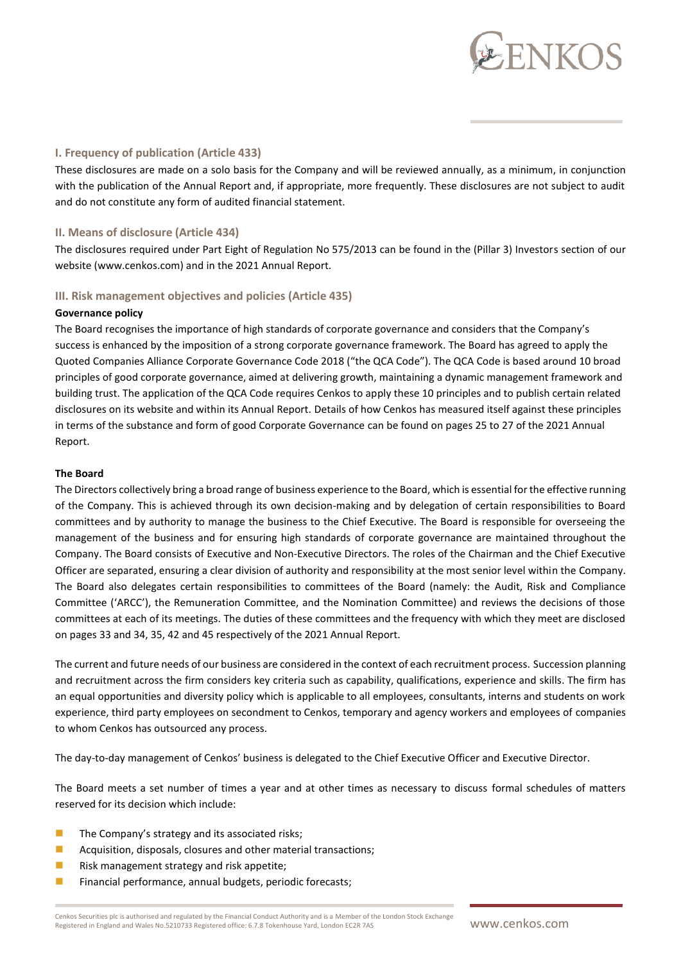

#### **I. Frequency of publication (Article 433)**

These disclosures are made on a solo basis for the Company and will be reviewed annually, as a minimum, in conjunction with the publication of the Annual Report and, if appropriate, more frequently. These disclosures are not subject to audit and do not constitute any form of audited financial statement.

#### **II. Means of disclosure (Article 434)**

The disclosures required under Part Eight of Regulation No 575/2013 can be found in the (Pillar 3) Investors section of our website (www.cenkos.com) and in the 2021 Annual Report.

#### **III. Risk management objectives and policies (Article 435)**

#### **Governance policy**

The Board recognises the importance of high standards of corporate governance and considers that the Company's success is enhanced by the imposition of a strong corporate governance framework. The Board has agreed to apply the Quoted Companies Alliance Corporate Governance Code 2018 ("the QCA Code"). The QCA Code is based around 10 broad principles of good corporate governance, aimed at delivering growth, maintaining a dynamic management framework and building trust. The application of the QCA Code requires Cenkos to apply these 10 principles and to publish certain related disclosures on its website and within its Annual Report. Details of how Cenkos has measured itself against these principles in terms of the substance and form of good Corporate Governance can be found on pages 25 to 27 of the 2021 Annual Report.

#### **The Board**

The Directors collectively bring a broad range of business experience to the Board, which is essential for the effective running of the Company. This is achieved through its own decision-making and by delegation of certain responsibilities to Board committees and by authority to manage the business to the Chief Executive. The Board is responsible for overseeing the management of the business and for ensuring high standards of corporate governance are maintained throughout the Company. The Board consists of Executive and Non-Executive Directors. The roles of the Chairman and the Chief Executive Officer are separated, ensuring a clear division of authority and responsibility at the most senior level within the Company. The Board also delegates certain responsibilities to committees of the Board (namely: the Audit, Risk and Compliance Committee ('ARCC'), the Remuneration Committee, and the Nomination Committee) and reviews the decisions of those committees at each of its meetings. The duties of these committees and the frequency with which they meet are disclosed on pages 33 and 34, 35, 42 and 45 respectively of the 2021 Annual Report.

The current and future needs of our business are considered in the context of each recruitment process. Succession planning and recruitment across the firm considers key criteria such as capability, qualifications, experience and skills. The firm has an equal opportunities and diversity policy which is applicable to all employees, consultants, interns and students on work experience, third party employees on secondment to Cenkos, temporary and agency workers and employees of companies to whom Cenkos has outsourced any process.

The day-to-day management of Cenkos' business is delegated to the Chief Executive Officer and Executive Director.

The Board meets a set number of times a year and at other times as necessary to discuss formal schedules of matters reserved for its decision which include:

- $\blacksquare$  The Company's strategy and its associated risks;
- Acquisition, disposals, closures and other material transactions;
- Risk management strategy and risk appetite;
- ◼ Financial performance, annual budgets, periodic forecasts;

Cenkos Securities plc is authorised and regulated by the Financial Conduct Authority and is a Member of the London Stock Exchange CERT AND SERVIEW AND THE SURFACT AND THE THEORY OF THE CONDUCT AND THE CONDUCT SUGGETHER OF THE CONDUCT SUGGETHER AND THE CONDUCT SUGGETHER AND THE CONDUCT SUGGETHER AND THE CONDUCT SUGGETHER AND THE CONDUCT SUGGETHER AND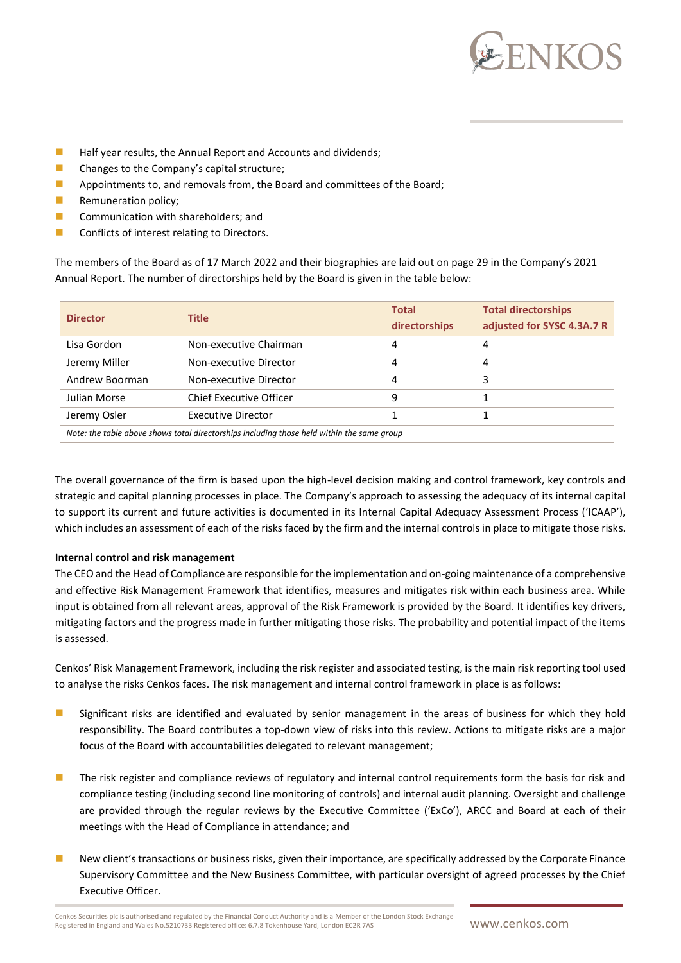

- Half year results, the Annual Report and Accounts and dividends;
- Changes to the Company's capital structure;
- Appointments to, and removals from, the Board and committees of the Board;
- Remuneration policy;
- Communication with shareholders; and
- Conflicts of interest relating to Directors.

The members of the Board as of 17 March 2022 and their biographies are laid out on page 29 in the Company's 2021 Annual Report. The number of directorships held by the Board is given in the table below:

| <b>Director</b>                                                                            | <b>Title</b>                   | <b>Total</b><br>directorships | <b>Total directorships</b><br>adjusted for SYSC 4.3A.7 R |  |
|--------------------------------------------------------------------------------------------|--------------------------------|-------------------------------|----------------------------------------------------------|--|
| Lisa Gordon                                                                                | Non-executive Chairman         | 4                             |                                                          |  |
| Jeremy Miller                                                                              | Non-executive Director         | 4                             |                                                          |  |
| Andrew Boorman                                                                             | Non-executive Director         | 4                             |                                                          |  |
| Julian Morse                                                                               | <b>Chief Executive Officer</b> | 9                             |                                                          |  |
| Jeremy Osler                                                                               | Executive Director             |                               |                                                          |  |
| Note: the table above shows total directorships including those held within the same group |                                |                               |                                                          |  |

The overall governance of the firm is based upon the high-level decision making and control framework, key controls and strategic and capital planning processes in place. The Company's approach to assessing the adequacy of its internal capital to support its current and future activities is documented in its Internal Capital Adequacy Assessment Process ('ICAAP'), which includes an assessment of each of the risks faced by the firm and the internal controls in place to mitigate those risks.

#### **Internal control and risk management**

The CEO and the Head of Compliance are responsible for the implementation and on-going maintenance of a comprehensive and effective Risk Management Framework that identifies, measures and mitigates risk within each business area. While input is obtained from all relevant areas, approval of the Risk Framework is provided by the Board. It identifies key drivers, mitigating factors and the progress made in further mitigating those risks. The probability and potential impact of the items is assessed.

Cenkos' Risk Management Framework, including the risk register and associated testing, is the main risk reporting tool used to analyse the risks Cenkos faces. The risk management and internal control framework in place is as follows:

- Significant risks are identified and evaluated by senior management in the areas of business for which they hold responsibility. The Board contributes a top-down view of risks into this review. Actions to mitigate risks are a major focus of the Board with accountabilities delegated to relevant management;
- The risk register and compliance reviews of regulatory and internal control requirements form the basis for risk and compliance testing (including second line monitoring of controls) and internal audit planning. Oversight and challenge are provided through the regular reviews by the Executive Committee ('ExCo'), ARCC and Board at each of their meetings with the Head of Compliance in attendance; and
- New client's transactions or business risks, given their importance, are specifically addressed by the Corporate Finance Supervisory Committee and the New Business Committee, with particular oversight of agreed processes by the Chief Executive Officer.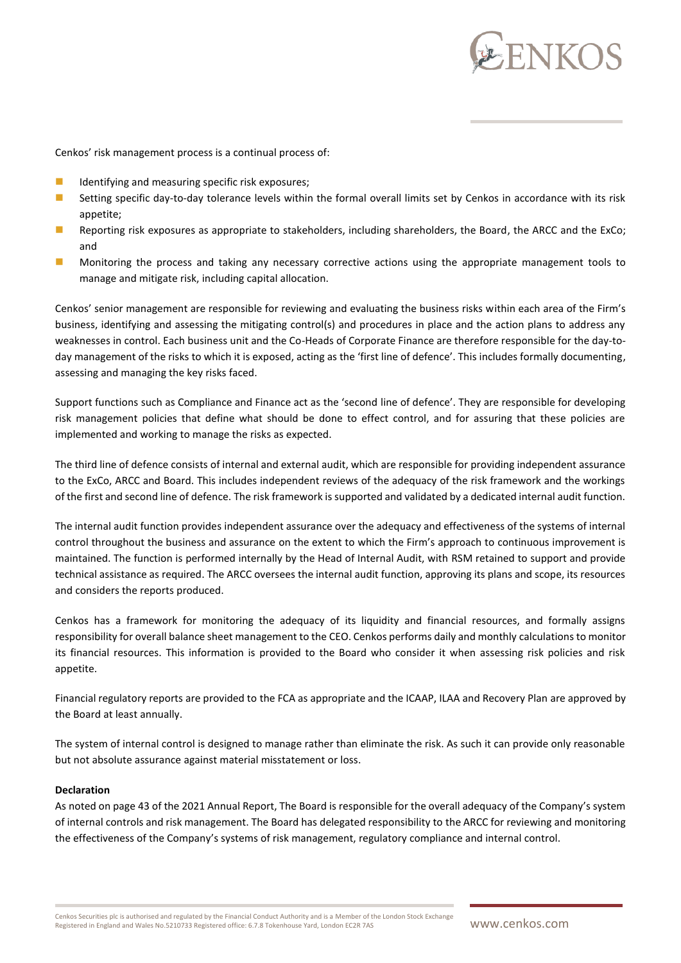

Cenkos' risk management process is a continual process of:

- $\blacksquare$  Identifying and measuring specific risk exposures;
- Setting specific day-to-day tolerance levels within the formal overall limits set by Cenkos in accordance with its risk appetite;
- Reporting risk exposures as appropriate to stakeholders, including shareholders, the Board, the ARCC and the ExCo; and
- ◼ Monitoring the process and taking any necessary corrective actions using the appropriate management tools to manage and mitigate risk, including capital allocation.

Cenkos' senior management are responsible for reviewing and evaluating the business risks within each area of the Firm's business, identifying and assessing the mitigating control(s) and procedures in place and the action plans to address any weaknesses in control. Each business unit and the Co-Heads of Corporate Finance are therefore responsible for the day-today management of the risks to which it is exposed, acting as the 'first line of defence'. This includes formally documenting, assessing and managing the key risks faced.

Support functions such as Compliance and Finance act as the 'second line of defence'. They are responsible for developing risk management policies that define what should be done to effect control, and for assuring that these policies are implemented and working to manage the risks as expected.

The third line of defence consists of internal and external audit, which are responsible for providing independent assurance to the ExCo, ARCC and Board. This includes independent reviews of the adequacy of the risk framework and the workings of the first and second line of defence. The risk framework is supported and validated by a dedicated internal audit function.

The internal audit function provides independent assurance over the adequacy and effectiveness of the systems of internal control throughout the business and assurance on the extent to which the Firm's approach to continuous improvement is maintained. The function is performed internally by the Head of Internal Audit, with RSM retained to support and provide technical assistance as required. The ARCC oversees the internal audit function, approving its plans and scope, its resources and considers the reports produced.

Cenkos has a framework for monitoring the adequacy of its liquidity and financial resources, and formally assigns responsibility for overall balance sheet management to the CEO. Cenkos performs daily and monthly calculations to monitor its financial resources. This information is provided to the Board who consider it when assessing risk policies and risk appetite.

Financial regulatory reports are provided to the FCA as appropriate and the ICAAP, ILAA and Recovery Plan are approved by the Board at least annually.

The system of internal control is designed to manage rather than eliminate the risk. As such it can provide only reasonable but not absolute assurance against material misstatement or loss.

#### **Declaration**

As noted on page 43 of the 2021 Annual Report, The Board is responsible for the overall adequacy of the Company's system of internal controls and risk management. The Board has delegated responsibility to the ARCC for reviewing and monitoring the effectiveness of the Company's systems of risk management, regulatory compliance and internal control.

Cenkos Securities plc is authorised and regulated by the Financial Conduct Authority and is a Member of the London Stock Exchange CERNIA REGISTER IN ENGLISHED AND REGISTER OF THE CONDUCT AND REGISTER OF THE CONDUCT SUCK EXCHANGE COMMUNIC COMMUNIC COMMUNIC COMMUNIC COMMUNIC COMMUNIC COMMUNIC COMMUNIC COMMUNIC COMMUNIC COMMUNIC COMMUNIC COMMUNIC COMMUN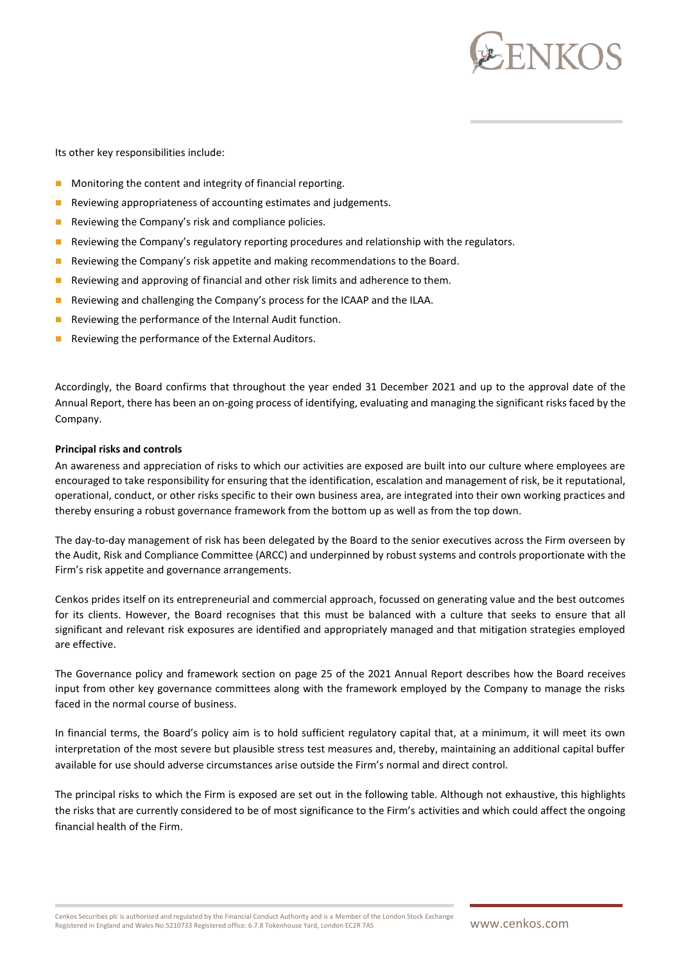

Its other key responsibilities include:

- Monitoring the content and integrity of financial reporting.
- Reviewing appropriateness of accounting estimates and judgements.
- Reviewing the Company's risk and compliance policies.
- Reviewing the Company's regulatory reporting procedures and relationship with the regulators.
- Reviewing the Company's risk appetite and making recommendations to the Board.
- Reviewing and approving of financial and other risk limits and adherence to them.
- Reviewing and challenging the Company's process for the ICAAP and the ILAA.
- Reviewing the performance of the Internal Audit function.
- Reviewing the performance of the External Auditors.

Accordingly, the Board confirms that throughout the year ended 31 December 2021 and up to the approval date of the Annual Report, there has been an on-going process of identifying, evaluating and managing the significant risks faced by the Company.

#### **Principal risks and controls**

An awareness and appreciation of risks to which our activities are exposed are built into our culture where employees are encouraged to take responsibility for ensuring that the identification, escalation and management of risk, be it reputational, operational, conduct, or other risks specific to their own business area, are integrated into their own working practices and thereby ensuring a robust governance framework from the bottom up as well as from the top down.

The day-to-day management of risk has been delegated by the Board to the senior executives across the Firm overseen by the Audit, Risk and Compliance Committee (ARCC) and underpinned by robust systems and controls proportionate with the Firm's risk appetite and governance arrangements.

Cenkos prides itself on its entrepreneurial and commercial approach, focussed on generating value and the best outcomes for its clients. However, the Board recognises that this must be balanced with a culture that seeks to ensure that all significant and relevant risk exposures are identified and appropriately managed and that mitigation strategies employed are effective.

The Governance policy and framework section on page 25 of the 2021 Annual Report describes how the Board receives input from other key governance committees along with the framework employed by the Company to manage the risks faced in the normal course of business.

In financial terms, the Board's policy aim is to hold sufficient regulatory capital that, at a minimum, it will meet its own interpretation of the most severe but plausible stress test measures and, thereby, maintaining an additional capital buffer available for use should adverse circumstances arise outside the Firm's normal and direct control.

The principal risks to which the Firm is exposed are set out in the following table. Although not exhaustive, this highlights the risks that are currently considered to be of most significance to the Firm's activities and which could affect the ongoing financial health of the Firm.

Cenkos Securities plc is authorised and regulated by the Financial Conduct Authority and is a Member of the London Stock Exchange CERT AND SERVIEW AND THE SURFACT AND THE THEORY OF THE CONDUCT AND THE CONDUCT SUGGETHER OF THE CONDUCT SUGGETHER AND THE CONDUCT SUGGETHER AND THE CONDUCT SUGGETHER AND THE CONDUCT SUGGETHER AND THE CONDUCT SUGGETHER AND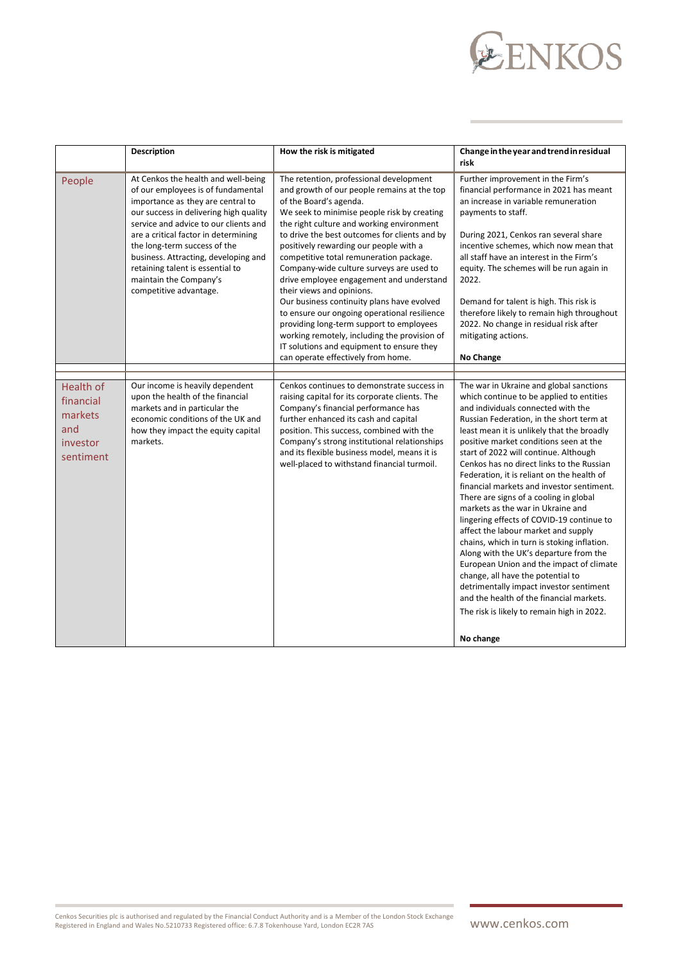# EENKOS

|                                                                          | <b>Description</b>                                                                                                                                                                                                                                                                                                                                                                                        | How the risk is mitigated                                                                                                                                                                                                                                                                                                                                                                                                                                                                                                                                                                                                                                                                                                                            | Change in the year and trend in residual<br>risk                                                                                                                                                                                                                                                                                                                                                                                                                                                                                                                                                                                                                                                                                                                                                                                                                                                                                              |
|--------------------------------------------------------------------------|-----------------------------------------------------------------------------------------------------------------------------------------------------------------------------------------------------------------------------------------------------------------------------------------------------------------------------------------------------------------------------------------------------------|------------------------------------------------------------------------------------------------------------------------------------------------------------------------------------------------------------------------------------------------------------------------------------------------------------------------------------------------------------------------------------------------------------------------------------------------------------------------------------------------------------------------------------------------------------------------------------------------------------------------------------------------------------------------------------------------------------------------------------------------------|-----------------------------------------------------------------------------------------------------------------------------------------------------------------------------------------------------------------------------------------------------------------------------------------------------------------------------------------------------------------------------------------------------------------------------------------------------------------------------------------------------------------------------------------------------------------------------------------------------------------------------------------------------------------------------------------------------------------------------------------------------------------------------------------------------------------------------------------------------------------------------------------------------------------------------------------------|
| People                                                                   | At Cenkos the health and well-being<br>of our employees is of fundamental<br>importance as they are central to<br>our success in delivering high quality<br>service and advice to our clients and<br>are a critical factor in determining<br>the long-term success of the<br>business. Attracting, developing and<br>retaining talent is essential to<br>maintain the Company's<br>competitive advantage. | The retention, professional development<br>and growth of our people remains at the top<br>of the Board's agenda.<br>We seek to minimise people risk by creating<br>the right culture and working environment<br>to drive the best outcomes for clients and by<br>positively rewarding our people with a<br>competitive total remuneration package.<br>Company-wide culture surveys are used to<br>drive employee engagement and understand<br>their views and opinions.<br>Our business continuity plans have evolved<br>to ensure our ongoing operational resilience<br>providing long-term support to employees<br>working remotely, including the provision of<br>IT solutions and equipment to ensure they<br>can operate effectively from home. | Further improvement in the Firm's<br>financial performance in 2021 has meant<br>an increase in variable remuneration<br>payments to staff.<br>During 2021, Cenkos ran several share<br>incentive schemes, which now mean that<br>all staff have an interest in the Firm's<br>equity. The schemes will be run again in<br>2022.<br>Demand for talent is high. This risk is<br>therefore likely to remain high throughout<br>2022. No change in residual risk after<br>mitigating actions.<br>No Change                                                                                                                                                                                                                                                                                                                                                                                                                                         |
|                                                                          |                                                                                                                                                                                                                                                                                                                                                                                                           |                                                                                                                                                                                                                                                                                                                                                                                                                                                                                                                                                                                                                                                                                                                                                      |                                                                                                                                                                                                                                                                                                                                                                                                                                                                                                                                                                                                                                                                                                                                                                                                                                                                                                                                               |
| <b>Health of</b><br>financial<br>markets<br>and<br>investor<br>sentiment | Our income is heavily dependent<br>upon the health of the financial<br>markets and in particular the<br>economic conditions of the UK and<br>how they impact the equity capital<br>markets.                                                                                                                                                                                                               | Cenkos continues to demonstrate success in<br>raising capital for its corporate clients. The<br>Company's financial performance has<br>further enhanced its cash and capital<br>position. This success, combined with the<br>Company's strong institutional relationships<br>and its flexible business model, means it is<br>well-placed to withstand financial turmoil.                                                                                                                                                                                                                                                                                                                                                                             | The war in Ukraine and global sanctions<br>which continue to be applied to entities<br>and individuals connected with the<br>Russian Federation, in the short term at<br>least mean it is unlikely that the broadly<br>positive market conditions seen at the<br>start of 2022 will continue. Although<br>Cenkos has no direct links to the Russian<br>Federation, it is reliant on the health of<br>financial markets and investor sentiment.<br>There are signs of a cooling in global<br>markets as the war in Ukraine and<br>lingering effects of COVID-19 continue to<br>affect the labour market and supply<br>chains, which in turn is stoking inflation.<br>Along with the UK's departure from the<br>European Union and the impact of climate<br>change, all have the potential to<br>detrimentally impact investor sentiment<br>and the health of the financial markets.<br>The risk is likely to remain high in 2022.<br>No change |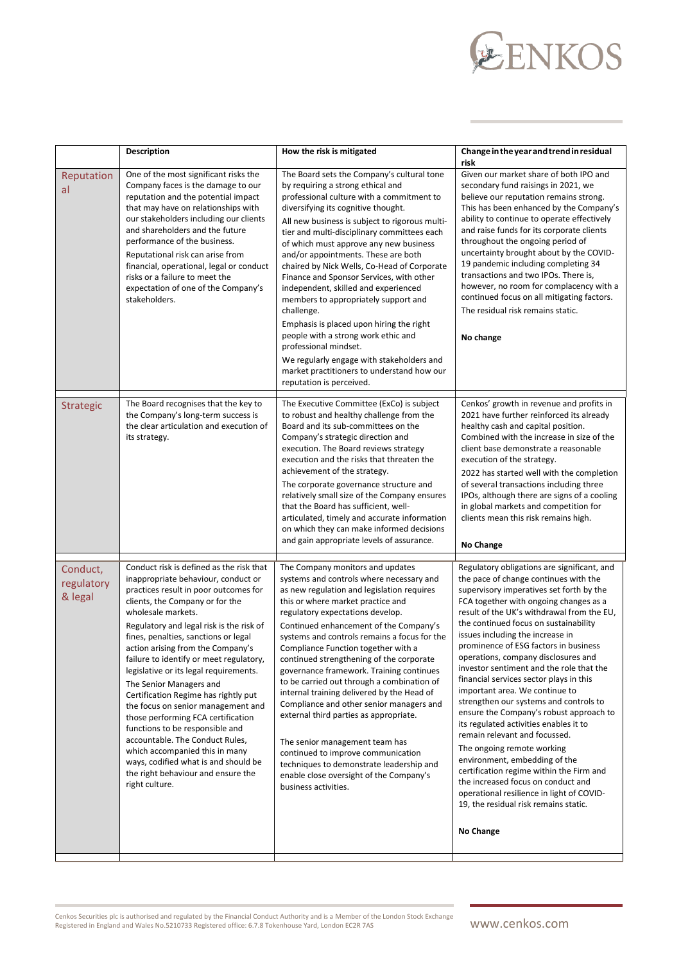# EENKOS

|                                   | <b>Description</b>                                                                                                                                                                                                                                                                                                                                                                                                                                                                                                                                                                                                                                                                                                                                     | How the risk is mitigated                                                                                                                                                                                                                                                                                                                                                                                                                                                                                                                                                                                                                                                                                                                                                                             | Change in the year and trend in residual<br>risk                                                                                                                                                                                                                                                                                                                                                                                                                                                                                                                                                                                                                                                                                                                                                                                                                                                                                   |
|-----------------------------------|--------------------------------------------------------------------------------------------------------------------------------------------------------------------------------------------------------------------------------------------------------------------------------------------------------------------------------------------------------------------------------------------------------------------------------------------------------------------------------------------------------------------------------------------------------------------------------------------------------------------------------------------------------------------------------------------------------------------------------------------------------|-------------------------------------------------------------------------------------------------------------------------------------------------------------------------------------------------------------------------------------------------------------------------------------------------------------------------------------------------------------------------------------------------------------------------------------------------------------------------------------------------------------------------------------------------------------------------------------------------------------------------------------------------------------------------------------------------------------------------------------------------------------------------------------------------------|------------------------------------------------------------------------------------------------------------------------------------------------------------------------------------------------------------------------------------------------------------------------------------------------------------------------------------------------------------------------------------------------------------------------------------------------------------------------------------------------------------------------------------------------------------------------------------------------------------------------------------------------------------------------------------------------------------------------------------------------------------------------------------------------------------------------------------------------------------------------------------------------------------------------------------|
| Reputation<br>al                  | One of the most significant risks the<br>Company faces is the damage to our<br>reputation and the potential impact<br>that may have on relationships with<br>our stakeholders including our clients<br>and shareholders and the future<br>performance of the business.<br>Reputational risk can arise from<br>financial, operational, legal or conduct<br>risks or a failure to meet the<br>expectation of one of the Company's<br>stakeholders.                                                                                                                                                                                                                                                                                                       | The Board sets the Company's cultural tone<br>by requiring a strong ethical and<br>professional culture with a commitment to<br>diversifying its cognitive thought.<br>All new business is subject to rigorous multi-<br>tier and multi-disciplinary committees each<br>of which must approve any new business<br>and/or appointments. These are both<br>chaired by Nick Wells, Co-Head of Corporate<br>Finance and Sponsor Services, with other<br>independent, skilled and experienced<br>members to appropriately support and<br>challenge.<br>Emphasis is placed upon hiring the right<br>people with a strong work ethic and<br>professional mindset.<br>We regularly engage with stakeholders and<br>market practitioners to understand how our<br>reputation is perceived.                     | Given our market share of both IPO and<br>secondary fund raisings in 2021, we<br>believe our reputation remains strong.<br>This has been enhanced by the Company's<br>ability to continue to operate effectively<br>and raise funds for its corporate clients<br>throughout the ongoing period of<br>uncertainty brought about by the COVID-<br>19 pandemic including completing 34<br>transactions and two IPOs. There is,<br>however, no room for complacency with a<br>continued focus on all mitigating factors.<br>The residual risk remains static.<br>No change                                                                                                                                                                                                                                                                                                                                                             |
| Strategic                         | The Board recognises that the key to<br>the Company's long-term success is<br>the clear articulation and execution of<br>its strategy.                                                                                                                                                                                                                                                                                                                                                                                                                                                                                                                                                                                                                 | The Executive Committee (ExCo) is subject<br>to robust and healthy challenge from the<br>Board and its sub-committees on the<br>Company's strategic direction and<br>execution. The Board reviews strategy<br>execution and the risks that threaten the<br>achievement of the strategy.<br>The corporate governance structure and<br>relatively small size of the Company ensures<br>that the Board has sufficient, well-<br>articulated, timely and accurate information<br>on which they can make informed decisions<br>and gain appropriate levels of assurance.                                                                                                                                                                                                                                   | Cenkos' growth in revenue and profits in<br>2021 have further reinforced its already<br>healthy cash and capital position.<br>Combined with the increase in size of the<br>client base demonstrate a reasonable<br>execution of the strategy.<br>2022 has started well with the completion<br>of several transactions including three<br>IPOs, although there are signs of a cooling<br>in global markets and competition for<br>clients mean this risk remains high.<br>No Change                                                                                                                                                                                                                                                                                                                                                                                                                                                 |
| Conduct,<br>regulatory<br>& legal | Conduct risk is defined as the risk that<br>inappropriate behaviour, conduct or<br>practices result in poor outcomes for<br>clients, the Company or for the<br>wholesale markets.<br>Regulatory and legal risk is the risk of<br>fines, penalties, sanctions or legal<br>action arising from the Company's<br>failure to identify or meet regulatory,<br>legislative or its legal requirements.<br>The Senior Managers and<br>Certification Regime has rightly put<br>the focus on senior management and<br>those performing FCA certification<br>functions to be responsible and<br>accountable. The Conduct Rules,<br>which accompanied this in many<br>ways, codified what is and should be<br>the right behaviour and ensure the<br>right culture. | The Company monitors and updates<br>systems and controls where necessary and<br>as new regulation and legislation requires<br>this or where market practice and<br>regulatory expectations develop.<br>Continued enhancement of the Company's<br>systems and controls remains a focus for the<br>Compliance Function together with a<br>continued strengthening of the corporate<br>governance framework. Training continues<br>to be carried out through a combination of<br>internal training delivered by the Head of<br>Compliance and other senior managers and<br>external third parties as appropriate.<br>The senior management team has<br>continued to improve communication<br>techniques to demonstrate leadership and<br>enable close oversight of the Company's<br>business activities. | Regulatory obligations are significant, and<br>the pace of change continues with the<br>supervisory imperatives set forth by the<br>FCA together with ongoing changes as a<br>result of the UK's withdrawal from the EU,<br>the continued focus on sustainability<br>issues including the increase in<br>prominence of ESG factors in business<br>operations, company disclosures and<br>investor sentiment and the role that the<br>financial services sector plays in this<br>important area. We continue to<br>strengthen our systems and controls to<br>ensure the Company's robust approach to<br>its regulated activities enables it to<br>remain relevant and focussed.<br>The ongoing remote working<br>environment, embedding of the<br>certification regime within the Firm and<br>the increased focus on conduct and<br>operational resilience in light of COVID-<br>19, the residual risk remains static.<br>No Change |

Cenkos Securities plc is authorised and regulated by the Financial Conduct Authority and is a Member of the London Stock Exchange<br>Registered in England and Wales No.5210733 Registered office: 6.7.8 Tokenhouse Yard, London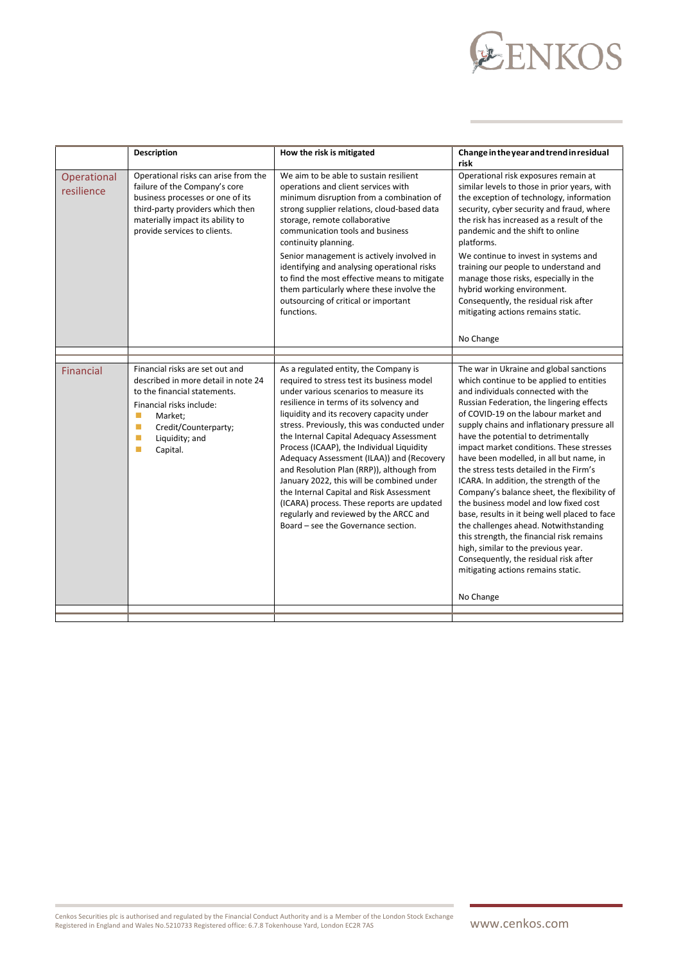# EENKOS

|                           | <b>Description</b>                                                                                                                                                                                                 | How the risk is mitigated                                                                                                                                                                                                                                                                                                                                                                                                                                                                                                                                                                                                                                                        | Change in the year and trend in residual<br>risk                                                                                                                                                                                                                                                                                                                                                                                                                                                                                                                                                                                                                                                                                                                                                                                                    |
|---------------------------|--------------------------------------------------------------------------------------------------------------------------------------------------------------------------------------------------------------------|----------------------------------------------------------------------------------------------------------------------------------------------------------------------------------------------------------------------------------------------------------------------------------------------------------------------------------------------------------------------------------------------------------------------------------------------------------------------------------------------------------------------------------------------------------------------------------------------------------------------------------------------------------------------------------|-----------------------------------------------------------------------------------------------------------------------------------------------------------------------------------------------------------------------------------------------------------------------------------------------------------------------------------------------------------------------------------------------------------------------------------------------------------------------------------------------------------------------------------------------------------------------------------------------------------------------------------------------------------------------------------------------------------------------------------------------------------------------------------------------------------------------------------------------------|
| Operational<br>resilience | Operational risks can arise from the<br>failure of the Company's core<br>business processes or one of its<br>third-party providers which then<br>materially impact its ability to<br>provide services to clients.  | We aim to be able to sustain resilient<br>operations and client services with<br>minimum disruption from a combination of<br>strong supplier relations, cloud-based data<br>storage, remote collaborative<br>communication tools and business<br>continuity planning.<br>Senior management is actively involved in<br>identifying and analysing operational risks<br>to find the most effective means to mitigate<br>them particularly where these involve the<br>outsourcing of critical or important<br>functions.                                                                                                                                                             | Operational risk exposures remain at<br>similar levels to those in prior years, with<br>the exception of technology, information<br>security, cyber security and fraud, where<br>the risk has increased as a result of the<br>pandemic and the shift to online<br>platforms.<br>We continue to invest in systems and<br>training our people to understand and<br>manage those risks, especially in the<br>hybrid working environment.<br>Consequently, the residual risk after<br>mitigating actions remains static.<br>No Change                                                                                                                                                                                                                                                                                                                   |
|                           |                                                                                                                                                                                                                    |                                                                                                                                                                                                                                                                                                                                                                                                                                                                                                                                                                                                                                                                                  |                                                                                                                                                                                                                                                                                                                                                                                                                                                                                                                                                                                                                                                                                                                                                                                                                                                     |
| <b>Financial</b>          | Financial risks are set out and<br>described in more detail in note 24<br>to the financial statements.<br>Financial risks include:<br>Market:<br>п<br>Credit/Counterparty;<br>п<br>Liquidity; and<br>п<br>Capital. | As a regulated entity, the Company is<br>required to stress test its business model<br>under various scenarios to measure its<br>resilience in terms of its solvency and<br>liquidity and its recovery capacity under<br>stress. Previously, this was conducted under<br>the Internal Capital Adequacy Assessment<br>Process (ICAAP), the Individual Liquidity<br>Adequacy Assessment (ILAA)) and (Recovery<br>and Resolution Plan (RRP)), although from<br>January 2022, this will be combined under<br>the Internal Capital and Risk Assessment<br>(ICARA) process. These reports are updated<br>regularly and reviewed by the ARCC and<br>Board - see the Governance section. | The war in Ukraine and global sanctions<br>which continue to be applied to entities<br>and individuals connected with the<br>Russian Federation, the lingering effects<br>of COVID-19 on the labour market and<br>supply chains and inflationary pressure all<br>have the potential to detrimentally<br>impact market conditions. These stresses<br>have been modelled, in all but name, in<br>the stress tests detailed in the Firm's<br>ICARA. In addition, the strength of the<br>Company's balance sheet, the flexibility of<br>the business model and low fixed cost<br>base, results in it being well placed to face<br>the challenges ahead. Notwithstanding<br>this strength, the financial risk remains<br>high, similar to the previous year.<br>Consequently, the residual risk after<br>mitigating actions remains static.<br>No Change |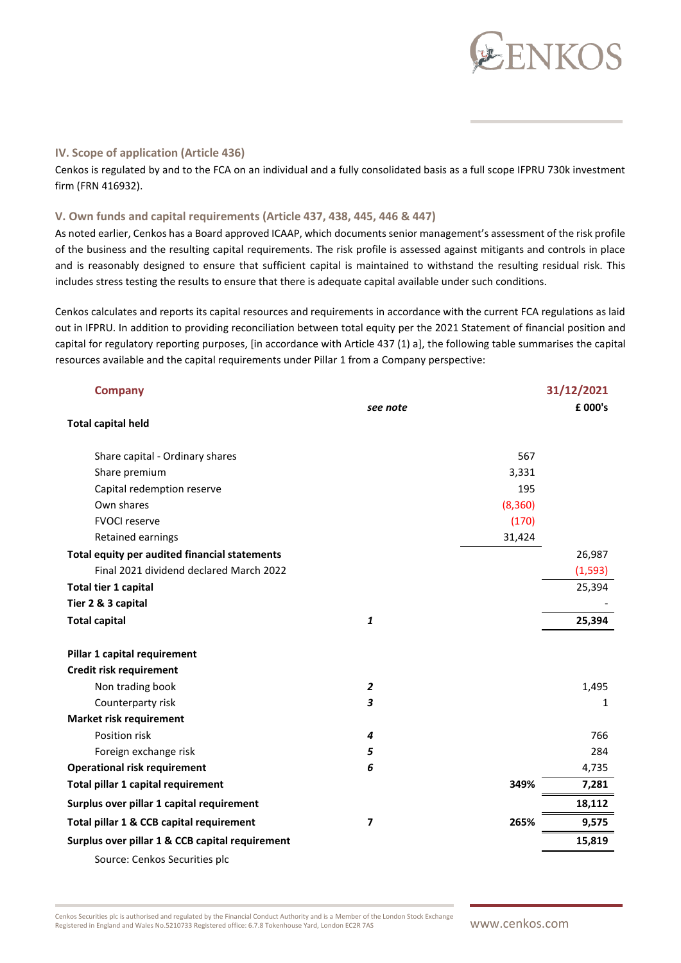

#### **IV. Scope of application (Article 436)**

Cenkos is regulated by and to the FCA on an individual and a fully consolidated basis as a full scope IFPRU 730k investment firm (FRN 416932).

#### **V. Own funds and capital requirements (Article 437, 438, 445, 446 & 447)**

As noted earlier, Cenkos has a Board approved ICAAP, which documents senior management's assessment of the risk profile of the business and the resulting capital requirements. The risk profile is assessed against mitigants and controls in place and is reasonably designed to ensure that sufficient capital is maintained to withstand the resulting residual risk. This includes stress testing the results to ensure that there is adequate capital available under such conditions.

Cenkos calculates and reports its capital resources and requirements in accordance with the current FCA regulations as laid out in IFPRU. In addition to providing reconciliation between total equity per the 2021 Statement of financial position and capital for regulatory reporting purposes, [in accordance with Article 437 (1) a], the following table summarises the capital resources available and the capital requirements under Pillar 1 from a Company perspective:

| <b>Company</b>                                  |                         |          | 31/12/2021 |
|-------------------------------------------------|-------------------------|----------|------------|
|                                                 | see note                |          | £ 000's    |
| <b>Total capital held</b>                       |                         |          |            |
| Share capital - Ordinary shares                 |                         | 567      |            |
| Share premium                                   |                         | 3,331    |            |
| Capital redemption reserve                      |                         | 195      |            |
| Own shares                                      |                         | (8, 360) |            |
| <b>FVOCI reserve</b>                            |                         | (170)    |            |
| Retained earnings                               |                         | 31,424   |            |
| Total equity per audited financial statements   |                         |          | 26,987     |
| Final 2021 dividend declared March 2022         |                         |          | (1, 593)   |
| Total tier 1 capital                            |                         |          | 25,394     |
| Tier 2 & 3 capital                              |                         |          |            |
| <b>Total capital</b>                            | $\pmb{1}$               |          | 25,394     |
| Pillar 1 capital requirement                    |                         |          |            |
| Credit risk requirement                         |                         |          |            |
| Non trading book                                | $\overline{\mathbf{c}}$ |          | 1,495      |
| Counterparty risk                               | 3                       |          | 1          |
| <b>Market risk requirement</b>                  |                         |          |            |
| Position risk                                   | 4                       |          | 766        |
| Foreign exchange risk                           | 5                       |          | 284        |
| <b>Operational risk requirement</b>             | 6                       |          | 4,735      |
| Total pillar 1 capital requirement              |                         | 349%     | 7,281      |
| Surplus over pillar 1 capital requirement       |                         |          | 18,112     |
| Total pillar 1 & CCB capital requirement        | $\overline{\mathbf{z}}$ | 265%     | 9,575      |
| Surplus over pillar 1 & CCB capital requirement |                         |          | 15,819     |
| Source: Cenkos Securities plc                   |                         |          |            |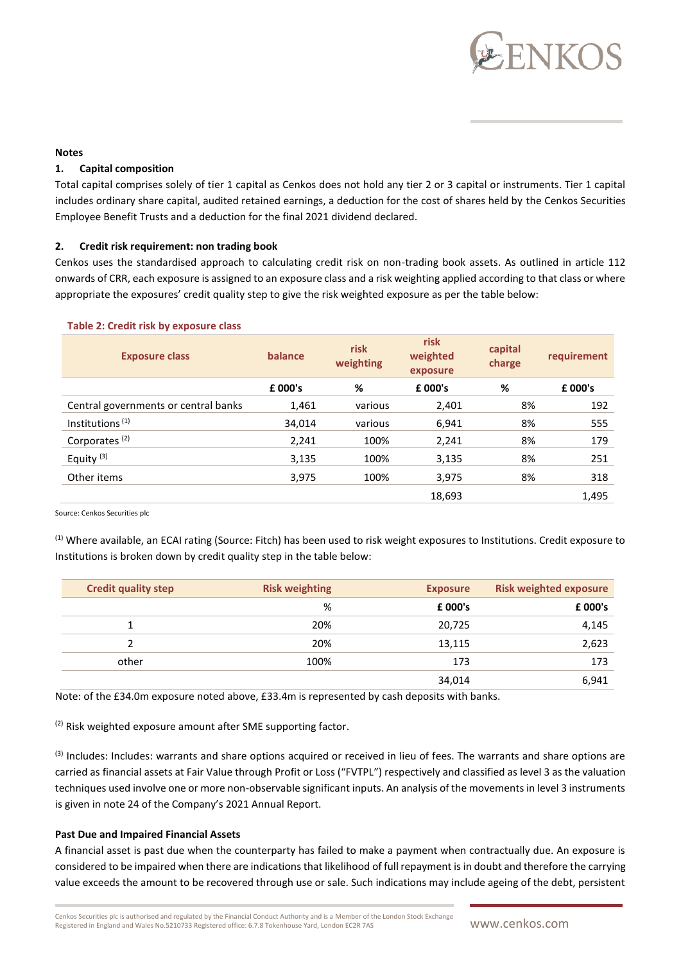

#### **Notes**

#### **1. Capital composition**

Total capital comprises solely of tier 1 capital as Cenkos does not hold any tier 2 or 3 capital or instruments. Tier 1 capital includes ordinary share capital, audited retained earnings, a deduction for the cost of shares held by the Cenkos Securities Employee Benefit Trusts and a deduction for the final 2021 dividend declared.

#### **2. Credit risk requirement: non trading book**

Cenkos uses the standardised approach to calculating credit risk on non-trading book assets. As outlined in article 112 onwards of CRR, each exposure is assigned to an exposure class and a risk weighting applied according to that class or where appropriate the exposures' credit quality step to give the risk weighted exposure as per the table below:

| <b>Exposure class</b>                | balance | risk<br>weighting | risk<br>weighted<br>exposure | capital<br>charge | requirement |
|--------------------------------------|---------|-------------------|------------------------------|-------------------|-------------|
|                                      | £ 000's | %                 | £ 000's                      | %                 | £ 000's     |
| Central governments or central banks | 1,461   | various           | 2,401                        | 8%                | 192         |
| Institutions <sup>(1)</sup>          | 34,014  | various           | 6,941                        | 8%                | 555         |
| Corporates <sup>(2)</sup>            | 2,241   | 100%              | 2,241                        | 8%                | 179         |
| Equity <sup>(3)</sup>                | 3,135   | 100%              | 3,135                        | 8%                | 251         |
| Other items                          | 3,975   | 100%              | 3,975                        | 8%                | 318         |
|                                      |         |                   | 18,693                       |                   | 1,495       |

#### **Table 2: Credit risk by exposure class**

Source: Cenkos Securities plc

(1) Where available, an ECAI rating (Source: Fitch) has been used to risk weight exposures to Institutions. Credit exposure to Institutions is broken down by credit quality step in the table below:

| <b>Credit quality step</b> | <b>Risk weighting</b> | <b>Exposure</b> | <b>Risk weighted exposure</b> |
|----------------------------|-----------------------|-----------------|-------------------------------|
|                            | %                     | £ 000's         | £ 000's                       |
|                            | 20%                   | 20,725          | 4,145                         |
|                            | 20%                   | 13,115          | 2,623                         |
| other                      | 100%                  | 173             | 173                           |
|                            |                       | 34,014          | 6,941                         |

Note: of the £34.0m exposure noted above, £33.4m is represented by cash deposits with banks.

 $(2)$  Risk weighted exposure amount after SME supporting factor.

<sup>(3)</sup> Includes: Includes: warrants and share options acquired or received in lieu of fees. The warrants and share options are carried as financial assets at Fair Value through Profit or Loss ("FVTPL") respectively and classified as level 3 as the valuation techniques used involve one or more non-observable significant inputs. An analysis of the movements in level 3 instruments is given in note 24 of the Company's 2021 Annual Report.

#### **Past Due and Impaired Financial Assets**

A financial asset is past due when the counterparty has failed to make a payment when contractually due. An exposure is considered to be impaired when there are indications that likelihood of full repayment is in doubt and therefore the carrying value exceeds the amount to be recovered through use or sale. Such indications may include ageing of the debt, persistent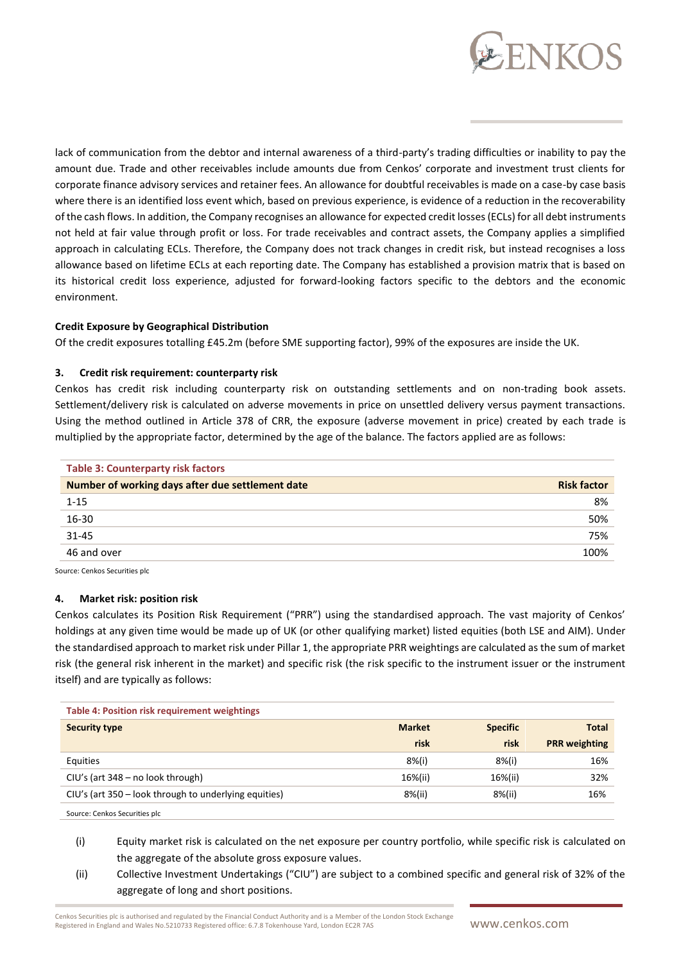

lack of communication from the debtor and internal awareness of a third-party's trading difficulties or inability to pay the amount due. Trade and other receivables include amounts due from Cenkos' corporate and investment trust clients for corporate finance advisory services and retainer fees. An allowance for doubtful receivables is made on a case-by case basis where there is an identified loss event which, based on previous experience, is evidence of a reduction in the recoverability of the cash flows. In addition, the Company recognises an allowance for expected credit losses (ECLs) for all debt instruments not held at fair value through profit or loss. For trade receivables and contract assets, the Company applies a simplified approach in calculating ECLs. Therefore, the Company does not track changes in credit risk, but instead recognises a loss allowance based on lifetime ECLs at each reporting date. The Company has established a provision matrix that is based on its historical credit loss experience, adjusted for forward-looking factors specific to the debtors and the economic environment.

#### **Credit Exposure by Geographical Distribution**

Of the credit exposures totalling £45.2m (before SME supporting factor), 99% of the exposures are inside the UK.

#### **3. Credit risk requirement: counterparty risk**

Cenkos has credit risk including counterparty risk on outstanding settlements and on non-trading book assets. Settlement/delivery risk is calculated on adverse movements in price on unsettled delivery versus payment transactions. Using the method outlined in Article 378 of CRR, the exposure (adverse movement in price) created by each trade is multiplied by the appropriate factor, determined by the age of the balance. The factors applied are as follows:

| <b>Table 3: Counterparty risk factors</b>        |                    |
|--------------------------------------------------|--------------------|
| Number of working days after due settlement date | <b>Risk factor</b> |
| $1 - 15$                                         | 8%                 |
| 16-30                                            | 50%                |
| $31 - 45$                                        | 75%                |
| 46 and over                                      | 100%               |

Source: Cenkos Securities plc

#### **4. Market risk: position risk**

Cenkos calculates its Position Risk Requirement ("PRR") using the standardised approach. The vast majority of Cenkos' holdings at any given time would be made up of UK (or other qualifying market) listed equities (both LSE and AIM). Under the standardised approach to market risk under Pillar 1, the appropriate PRR weightings are calculated as the sum of market risk (the general risk inherent in the market) and specific risk (the risk specific to the instrument issuer or the instrument itself) and are typically as follows:

| <b>Table 4: Position risk requirement weightings</b>  |               |                 |                      |  |  |
|-------------------------------------------------------|---------------|-----------------|----------------------|--|--|
| <b>Security type</b>                                  | <b>Market</b> | <b>Specific</b> | <b>Total</b>         |  |  |
|                                                       | risk          | risk            | <b>PRR</b> weighting |  |  |
| Equities                                              | $8\%$ (i)     | $8%$ (i)        | 16%                  |  |  |
| CIU's (art 348 – no look through)                     | 16%(ii)       | 16%(ii)         | 32%                  |  |  |
| CIU's (art 350 – look through to underlying equities) | 8%(ii)        | 8%(ii)          | 16%                  |  |  |
| Source: Cenkos Securities plc                         |               |                 |                      |  |  |

(i) Equity market risk is calculated on the net exposure per country portfolio, while specific risk is calculated on the aggregate of the absolute gross exposure values.

(ii) Collective Investment Undertakings ("CIU") are subject to a combined specific and general risk of 32% of the aggregate of long and short positions.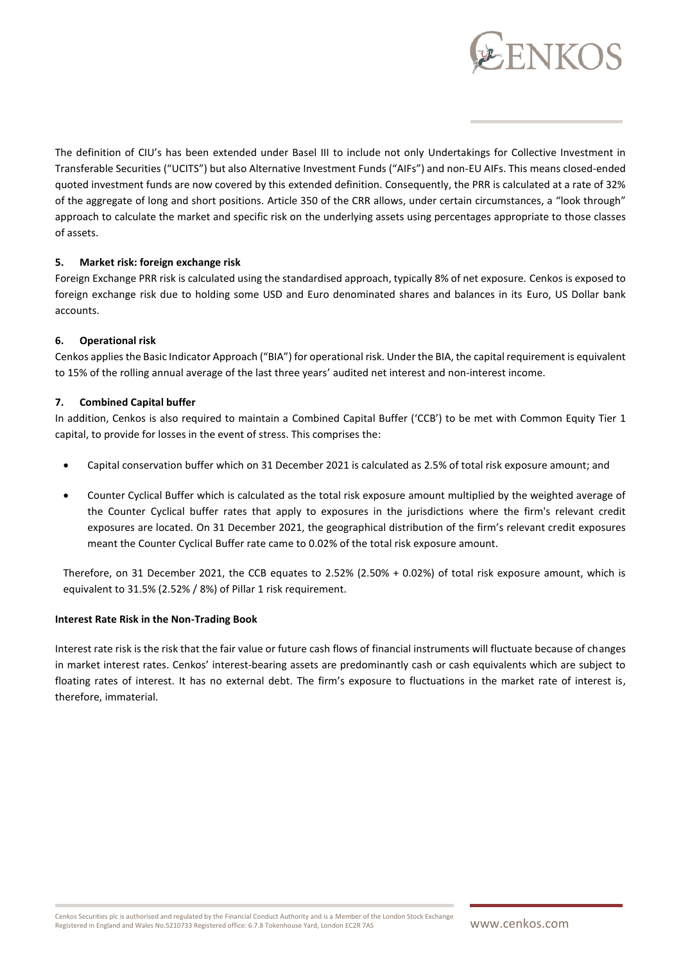

The definition of CIU's has been extended under Basel III to include not only Undertakings for Collective Investment in Transferable Securities ("UCITS") but also Alternative Investment Funds ("AIFs") and non-EU AIFs. This means closed-ended quoted investment funds are now covered by this extended definition. Consequently, the PRR is calculated at a rate of 32% of the aggregate of long and short positions. Article 350 of the CRR allows, under certain circumstances, a "look through" approach to calculate the market and specific risk on the underlying assets using percentages appropriate to those classes of assets.

#### **5. Market risk: foreign exchange risk**

Foreign Exchange PRR risk is calculated using the standardised approach, typically 8% of net exposure. Cenkos is exposed to foreign exchange risk due to holding some USD and Euro denominated shares and balances in its Euro, US Dollar bank accounts.

#### **6. Operational risk**

Cenkos applies the Basic Indicator Approach ("BIA") for operational risk. Under the BIA, the capital requirement is equivalent to 15% of the rolling annual average of the last three years' audited net interest and non-interest income.

#### **7. Combined Capital buffer**

In addition, Cenkos is also required to maintain a Combined Capital Buffer ('CCB') to be met with Common Equity Tier 1 capital, to provide for losses in the event of stress. This comprises the:

- Capital conservation buffer which on 31 December 2021 is calculated as 2.5% of total risk exposure amount; and
- Counter Cyclical Buffer which is calculated as the total risk exposure amount multiplied by the weighted average of the Counter Cyclical buffer rates that apply to exposures in the jurisdictions where the firm's relevant credit exposures are located. On 31 December 2021, the geographical distribution of the firm's relevant credit exposures meant the Counter Cyclical Buffer rate came to 0.02% of the total risk exposure amount.

Therefore, on 31 December 2021, the CCB equates to 2.52% (2.50% + 0.02%) of total risk exposure amount, which is equivalent to 31.5% (2.52% / 8%) of Pillar 1 risk requirement.

#### **Interest Rate Risk in the Non-Trading Book**

Interest rate risk is the risk that the fair value or future cash flows of financial instruments will fluctuate because of changes in market interest rates. Cenkos' interest-bearing assets are predominantly cash or cash equivalents which are subject to floating rates of interest. It has no external debt. The firm's exposure to fluctuations in the market rate of interest is, therefore, immaterial.